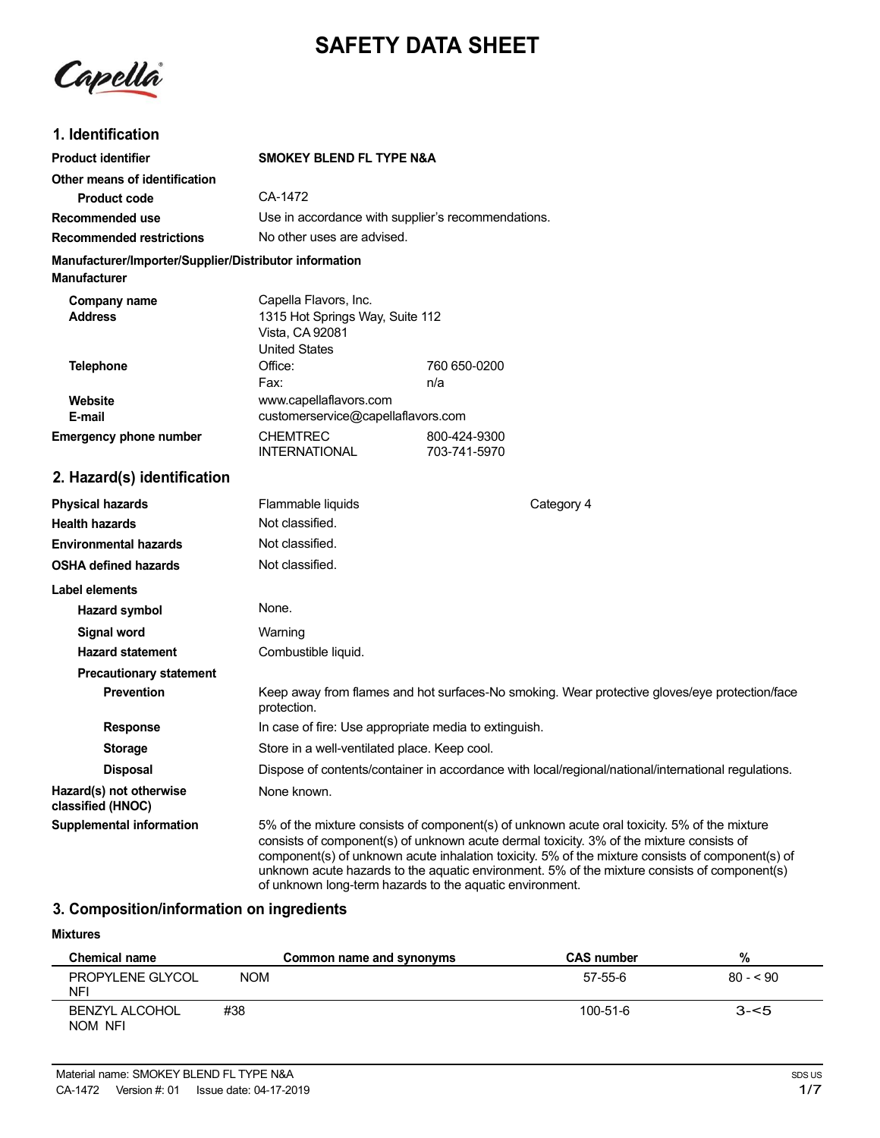# **SAFETY DATA SHEET**

Capella

# **1. Identification**

| <b>Product identifier</b>                                                     | <b>SMOKEY BLEND FL TYPE N&amp;A</b>                                                                                                                                                      |                                                                                               |
|-------------------------------------------------------------------------------|------------------------------------------------------------------------------------------------------------------------------------------------------------------------------------------|-----------------------------------------------------------------------------------------------|
|                                                                               |                                                                                                                                                                                          |                                                                                               |
| Other means of identification<br><b>Product code</b>                          | CA-1472                                                                                                                                                                                  |                                                                                               |
| Recommended use                                                               | Use in accordance with supplier's recommendations.                                                                                                                                       |                                                                                               |
| <b>Recommended restrictions</b>                                               | No other uses are advised.                                                                                                                                                               |                                                                                               |
|                                                                               |                                                                                                                                                                                          |                                                                                               |
| Manufacturer/Importer/Supplier/Distributor information<br><b>Manufacturer</b> |                                                                                                                                                                                          |                                                                                               |
| Company name<br><b>Address</b>                                                | Capella Flavors, Inc.<br>1315 Hot Springs Way, Suite 112<br>Vista, CA 92081<br><b>United States</b>                                                                                      |                                                                                               |
| <b>Telephone</b>                                                              | Office:                                                                                                                                                                                  | 760 650-0200                                                                                  |
|                                                                               | Fax:                                                                                                                                                                                     | n/a                                                                                           |
| Website<br>E-mail                                                             | www.capellaflavors.com<br>customerservice@capellaflavors.com                                                                                                                             |                                                                                               |
| <b>Emergency phone number</b>                                                 | <b>CHEMTREC</b><br><b>INTERNATIONAL</b>                                                                                                                                                  | 800-424-9300<br>703-741-5970                                                                  |
| 2. Hazard(s) identification                                                   |                                                                                                                                                                                          |                                                                                               |
| <b>Physical hazards</b>                                                       | Flammable liquids                                                                                                                                                                        | Category 4                                                                                    |
| <b>Health hazards</b>                                                         | Not classified.                                                                                                                                                                          |                                                                                               |
| <b>Environmental hazards</b>                                                  | Not classified.                                                                                                                                                                          |                                                                                               |
| <b>OSHA defined hazards</b>                                                   | Not classified.                                                                                                                                                                          |                                                                                               |
| Label elements                                                                |                                                                                                                                                                                          |                                                                                               |
| <b>Hazard symbol</b>                                                          | None.                                                                                                                                                                                    |                                                                                               |
| <b>Signal word</b>                                                            | Warning                                                                                                                                                                                  |                                                                                               |
| <b>Hazard statement</b>                                                       | Combustible liquid.                                                                                                                                                                      |                                                                                               |
| <b>Precautionary statement</b>                                                |                                                                                                                                                                                          |                                                                                               |
| <b>Prevention</b>                                                             | protection.                                                                                                                                                                              | Keep away from flames and hot surfaces-No smoking. Wear protective gloves/eye protection/face |
| <b>Response</b>                                                               | In case of fire: Use appropriate media to extinguish.                                                                                                                                    |                                                                                               |
| <b>Storage</b>                                                                | Store in a well-ventilated place. Keep cool.                                                                                                                                             |                                                                                               |
| <b>Disposal</b>                                                               | Dispose of contents/container in accordance with local/regional/national/international regulations.                                                                                      |                                                                                               |
| Hazard(s) not otherwise<br>classified (HNOC)                                  | None known.                                                                                                                                                                              |                                                                                               |
| <b>Supplemental information</b>                                               | 5% of the mixture consists of component(s) of unknown acute oral toxicity. 5% of the mixture<br>consists of component(s) of unknown acute dermal toxicity. 3% of the mixture consists of |                                                                                               |

# **3. Composition/information on ingredients**

#### **Mixtures**

| <b>Chemical name</b>             |            | Common name and synonyms | <b>CAS number</b> | %         |
|----------------------------------|------------|--------------------------|-------------------|-----------|
| PROPYLENE GLYCOL<br><b>NFI</b>   | <b>NOM</b> |                          | 57-55-6           | $80 - 50$ |
| <b>BENZYL ALCOHOL</b><br>NOM NFI | #38        |                          | 100-51-6          | $3 - 5$   |

of unknown long-term hazards to the aquatic environment.

component(s) of unknown acute inhalation toxicity. 5% of the mixture consists of component(s) of unknown acute hazards to the aquatic environment. 5% of the mixture consists of component(s)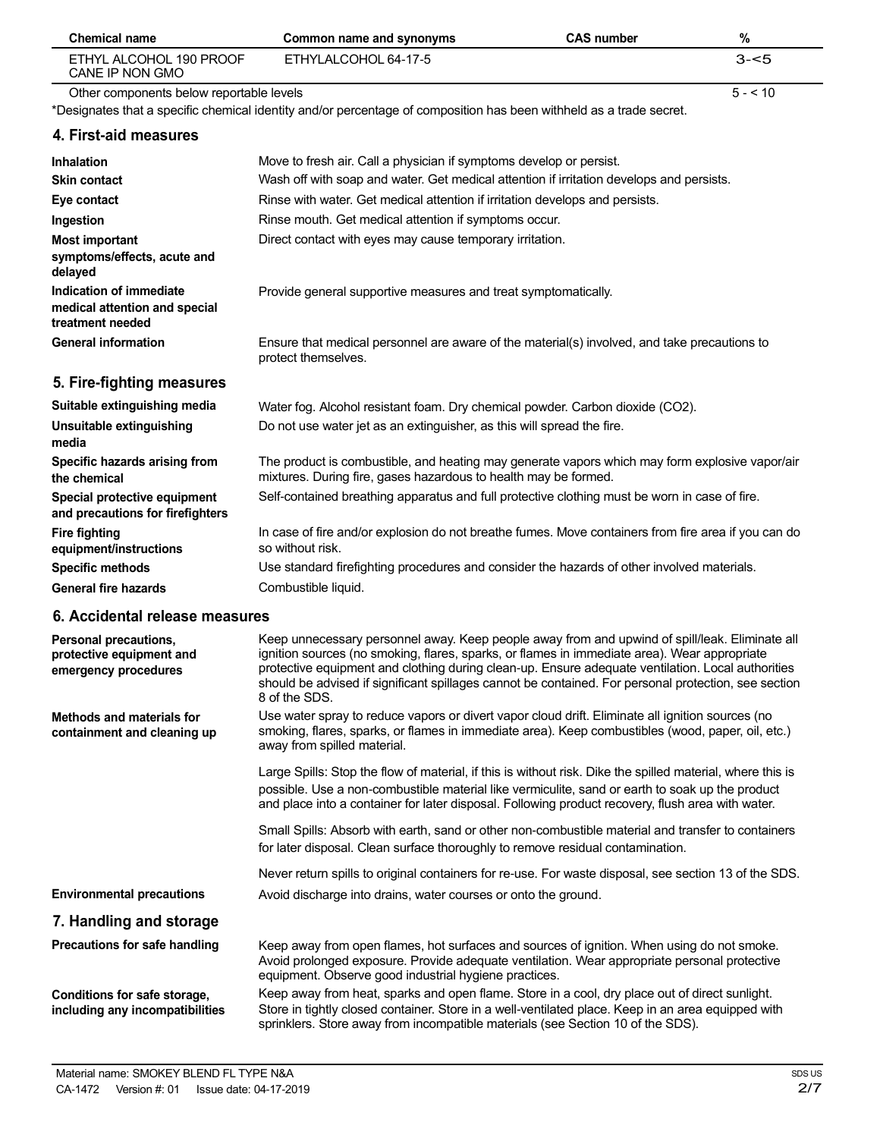| <b>Chemical name</b>                                                         | Common name and synonyms                                                                                                                                                                                                                                                                                                                                                                                                     | <b>CAS number</b> | $\%$     |
|------------------------------------------------------------------------------|------------------------------------------------------------------------------------------------------------------------------------------------------------------------------------------------------------------------------------------------------------------------------------------------------------------------------------------------------------------------------------------------------------------------------|-------------------|----------|
| ETHYL ALCOHOL 190 PROOF<br>CANE IP NON GMO                                   | ETHYLALCOHOL 64-17-5                                                                                                                                                                                                                                                                                                                                                                                                         |                   | $3 - 5$  |
| Other components below reportable levels                                     |                                                                                                                                                                                                                                                                                                                                                                                                                              |                   | $5 - 10$ |
|                                                                              | *Designates that a specific chemical identity and/or percentage of composition has been withheld as a trade secret.                                                                                                                                                                                                                                                                                                          |                   |          |
| 4. First-aid measures                                                        |                                                                                                                                                                                                                                                                                                                                                                                                                              |                   |          |
| <b>Inhalation</b>                                                            | Move to fresh air. Call a physician if symptoms develop or persist.                                                                                                                                                                                                                                                                                                                                                          |                   |          |
| <b>Skin contact</b>                                                          | Wash off with soap and water. Get medical attention if irritation develops and persists.                                                                                                                                                                                                                                                                                                                                     |                   |          |
| Eye contact                                                                  | Rinse with water. Get medical attention if irritation develops and persists.                                                                                                                                                                                                                                                                                                                                                 |                   |          |
| Ingestion                                                                    | Rinse mouth. Get medical attention if symptoms occur.                                                                                                                                                                                                                                                                                                                                                                        |                   |          |
| <b>Most important</b><br>symptoms/effects, acute and<br>delayed              | Direct contact with eyes may cause temporary irritation.                                                                                                                                                                                                                                                                                                                                                                     |                   |          |
| Indication of immediate<br>medical attention and special<br>treatment needed | Provide general supportive measures and treat symptomatically.                                                                                                                                                                                                                                                                                                                                                               |                   |          |
| <b>General information</b>                                                   | Ensure that medical personnel are aware of the material(s) involved, and take precautions to<br>protect themselves.                                                                                                                                                                                                                                                                                                          |                   |          |
| 5. Fire-fighting measures                                                    |                                                                                                                                                                                                                                                                                                                                                                                                                              |                   |          |
| Suitable extinguishing media                                                 | Water fog. Alcohol resistant foam. Dry chemical powder. Carbon dioxide (CO2).                                                                                                                                                                                                                                                                                                                                                |                   |          |
| Unsuitable extinguishing<br>media                                            | Do not use water jet as an extinguisher, as this will spread the fire.                                                                                                                                                                                                                                                                                                                                                       |                   |          |
| Specific hazards arising from<br>the chemical                                | The product is combustible, and heating may generate vapors which may form explosive vapor/air<br>mixtures. During fire, gases hazardous to health may be formed.                                                                                                                                                                                                                                                            |                   |          |
| Special protective equipment<br>and precautions for firefighters             | Self-contained breathing apparatus and full protective clothing must be worn in case of fire.                                                                                                                                                                                                                                                                                                                                |                   |          |
| <b>Fire fighting</b><br>equipment/instructions                               | In case of fire and/or explosion do not breathe fumes. Move containers from fire area if you can do<br>so without risk.                                                                                                                                                                                                                                                                                                      |                   |          |
| <b>Specific methods</b>                                                      | Use standard firefighting procedures and consider the hazards of other involved materials.                                                                                                                                                                                                                                                                                                                                   |                   |          |
| <b>General fire hazards</b>                                                  | Combustible liquid.                                                                                                                                                                                                                                                                                                                                                                                                          |                   |          |
| 6. Accidental release measures                                               |                                                                                                                                                                                                                                                                                                                                                                                                                              |                   |          |
| Personal precautions,<br>protective equipment and<br>emergency procedures    | Keep unnecessary personnel away. Keep people away from and upwind of spill/leak. Eliminate all<br>ignition sources (no smoking, flares, sparks, or flames in immediate area). Wear appropriate<br>protective equipment and clothing during clean-up. Ensure adequate ventilation. Local authorities<br>should be advised if significant spillages cannot be contained. For personal protection, see section<br>8 of the SDS. |                   |          |
| <b>Methods and materials for</b><br>containment and cleaning up              | Use water spray to reduce vapors or divert vapor cloud drift. Eliminate all ignition sources (no<br>smoking, flares, sparks, or flames in immediate area). Keep combustibles (wood, paper, oil, etc.)<br>away from spilled material.                                                                                                                                                                                         |                   |          |
|                                                                              | Large Spills: Stop the flow of material, if this is without risk. Dike the spilled material, where this is<br>possible. Use a non-combustible material like vermiculite, sand or earth to soak up the product<br>and place into a container for later disposal. Following product recovery, flush area with water.                                                                                                           |                   |          |
|                                                                              | Small Spills: Absorb with earth, sand or other non-combustible material and transfer to containers<br>for later disposal. Clean surface thoroughly to remove residual contamination.                                                                                                                                                                                                                                         |                   |          |
|                                                                              | Never return spills to original containers for re-use. For waste disposal, see section 13 of the SDS.                                                                                                                                                                                                                                                                                                                        |                   |          |
| <b>Environmental precautions</b>                                             | Avoid discharge into drains, water courses or onto the ground.                                                                                                                                                                                                                                                                                                                                                               |                   |          |
| 7. Handling and storage                                                      |                                                                                                                                                                                                                                                                                                                                                                                                                              |                   |          |
| Precautions for safe handling                                                | Keep away from open flames, hot surfaces and sources of ignition. When using do not smoke.                                                                                                                                                                                                                                                                                                                                   |                   |          |
|                                                                              | Avoid prolonged exposure. Provide adequate ventilation. Wear appropriate personal protective<br>equipment. Observe good industrial hygiene practices.                                                                                                                                                                                                                                                                        |                   |          |
| Conditions for safe storage,<br>including any incompatibilities              | Keep away from heat, sparks and open flame. Store in a cool, dry place out of direct sunlight.<br>Store in tightly closed container. Store in a well-ventilated place. Keep in an area equipped with<br>sprinklers. Store away from incompatible materials (see Section 10 of the SDS).                                                                                                                                      |                   |          |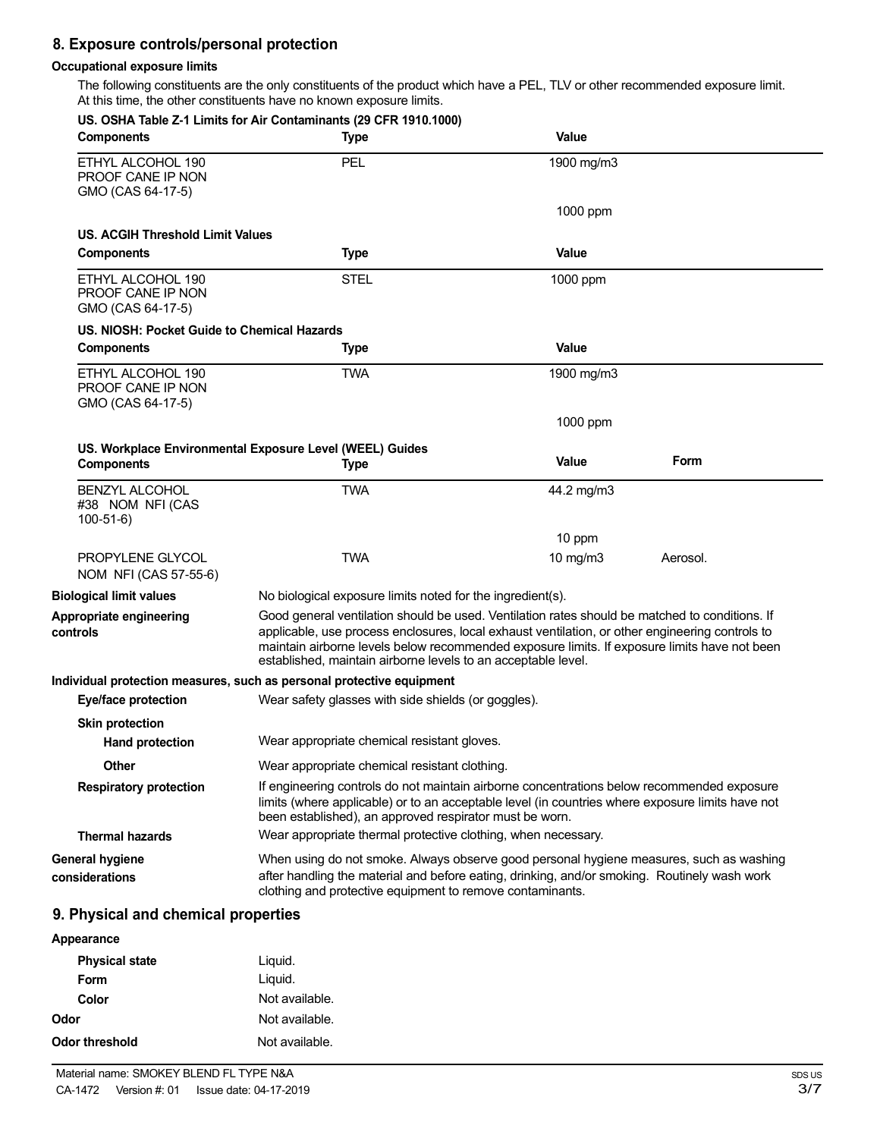# **8. Exposure controls/personal protection**

#### **Occupational exposure limits**

The following constituents are the only constituents of the product which have a PEL, TLV or other recommended exposure limit. At this time, the other constituents have no known exposure limits.

|                                                             | US. OSHA Table Z-1 Limits for Air Contaminants (29 CFR 1910.1000)                                                                                                                                                                                                                                                                                                  |              |          |
|-------------------------------------------------------------|--------------------------------------------------------------------------------------------------------------------------------------------------------------------------------------------------------------------------------------------------------------------------------------------------------------------------------------------------------------------|--------------|----------|
| <b>Components</b>                                           | Type                                                                                                                                                                                                                                                                                                                                                               | <b>Value</b> |          |
| ETHYL ALCOHOL 190<br>PROOF CANE IP NON<br>GMO (CAS 64-17-5) | <b>PEL</b>                                                                                                                                                                                                                                                                                                                                                         | 1900 mg/m3   |          |
|                                                             |                                                                                                                                                                                                                                                                                                                                                                    | 1000 ppm     |          |
| US. ACGIH Threshold Limit Values                            |                                                                                                                                                                                                                                                                                                                                                                    |              |          |
| <b>Components</b>                                           | <b>Type</b>                                                                                                                                                                                                                                                                                                                                                        | <b>Value</b> |          |
| ETHYL ALCOHOL 190<br>PROOF CANE IP NON<br>GMO (CAS 64-17-5) | STEL                                                                                                                                                                                                                                                                                                                                                               | 1000 ppm     |          |
| US. NIOSH: Pocket Guide to Chemical Hazards                 |                                                                                                                                                                                                                                                                                                                                                                    |              |          |
| <b>Components</b>                                           | Type                                                                                                                                                                                                                                                                                                                                                               | <b>Value</b> |          |
| ETHYL ALCOHOL 190<br>PROOF CANE IP NON<br>GMO (CAS 64-17-5) | <b>TWA</b>                                                                                                                                                                                                                                                                                                                                                         | 1900 mg/m3   |          |
|                                                             |                                                                                                                                                                                                                                                                                                                                                                    | 1000 ppm     |          |
|                                                             | US. Workplace Environmental Exposure Level (WEEL) Guides                                                                                                                                                                                                                                                                                                           |              |          |
| <b>Components</b>                                           | Type                                                                                                                                                                                                                                                                                                                                                               | <b>Value</b> | Form     |
| <b>BENZYL ALCOHOL</b><br>#38 NOM NFI (CAS<br>$100-51-6$     | <b>TWA</b>                                                                                                                                                                                                                                                                                                                                                         | 44.2 mg/m3   |          |
|                                                             |                                                                                                                                                                                                                                                                                                                                                                    | 10 ppm       |          |
| PROPYLENE GLYCOL<br>NOM NFI (CAS 57-55-6)                   | <b>TWA</b>                                                                                                                                                                                                                                                                                                                                                         | 10 mg/m $3$  | Aerosol. |
| <b>Biological limit values</b>                              | No biological exposure limits noted for the ingredient(s).                                                                                                                                                                                                                                                                                                         |              |          |
| Appropriate engineering<br>controls                         | Good general ventilation should be used. Ventilation rates should be matched to conditions. If<br>applicable, use process enclosures, local exhaust ventilation, or other engineering controls to<br>maintain airborne levels below recommended exposure limits. If exposure limits have not been<br>established, maintain airborne levels to an acceptable level. |              |          |
|                                                             | Individual protection measures, such as personal protective equipment                                                                                                                                                                                                                                                                                              |              |          |
| <b>Eye/face protection</b>                                  | Wear safety glasses with side shields (or goggles).                                                                                                                                                                                                                                                                                                                |              |          |
| <b>Skin protection</b>                                      |                                                                                                                                                                                                                                                                                                                                                                    |              |          |
| <b>Hand protection</b>                                      | Wear appropriate chemical resistant gloves.                                                                                                                                                                                                                                                                                                                        |              |          |
| Other                                                       | Wear appropriate chemical resistant clothing.                                                                                                                                                                                                                                                                                                                      |              |          |
| <b>Respiratory protection</b>                               | If engineering controls do not maintain airborne concentrations below recommended exposure<br>limits (where applicable) or to an acceptable level (in countries where exposure limits have not<br>been established), an approved respirator must be worn.                                                                                                          |              |          |
| <b>Thermal hazards</b>                                      | Wear appropriate thermal protective clothing, when necessary.                                                                                                                                                                                                                                                                                                      |              |          |
| <b>General hygiene</b><br>considerations                    | When using do not smoke. Always observe good personal hygiene measures, such as washing<br>after handling the material and before eating, drinking, and/or smoking. Routinely wash work<br>clothing and protective equipment to remove contaminants.                                                                                                               |              |          |
| 9. Physical and chemical properties                         |                                                                                                                                                                                                                                                                                                                                                                    |              |          |
| Appearance                                                  |                                                                                                                                                                                                                                                                                                                                                                    |              |          |
| <b>Physical state</b>                                       | Liquid.                                                                                                                                                                                                                                                                                                                                                            |              |          |
|                                                             |                                                                                                                                                                                                                                                                                                                                                                    |              |          |

| Liyulu.        |
|----------------|
| Liquid.        |
| Not available. |
| Not available. |
| Not available. |
|                |
|                |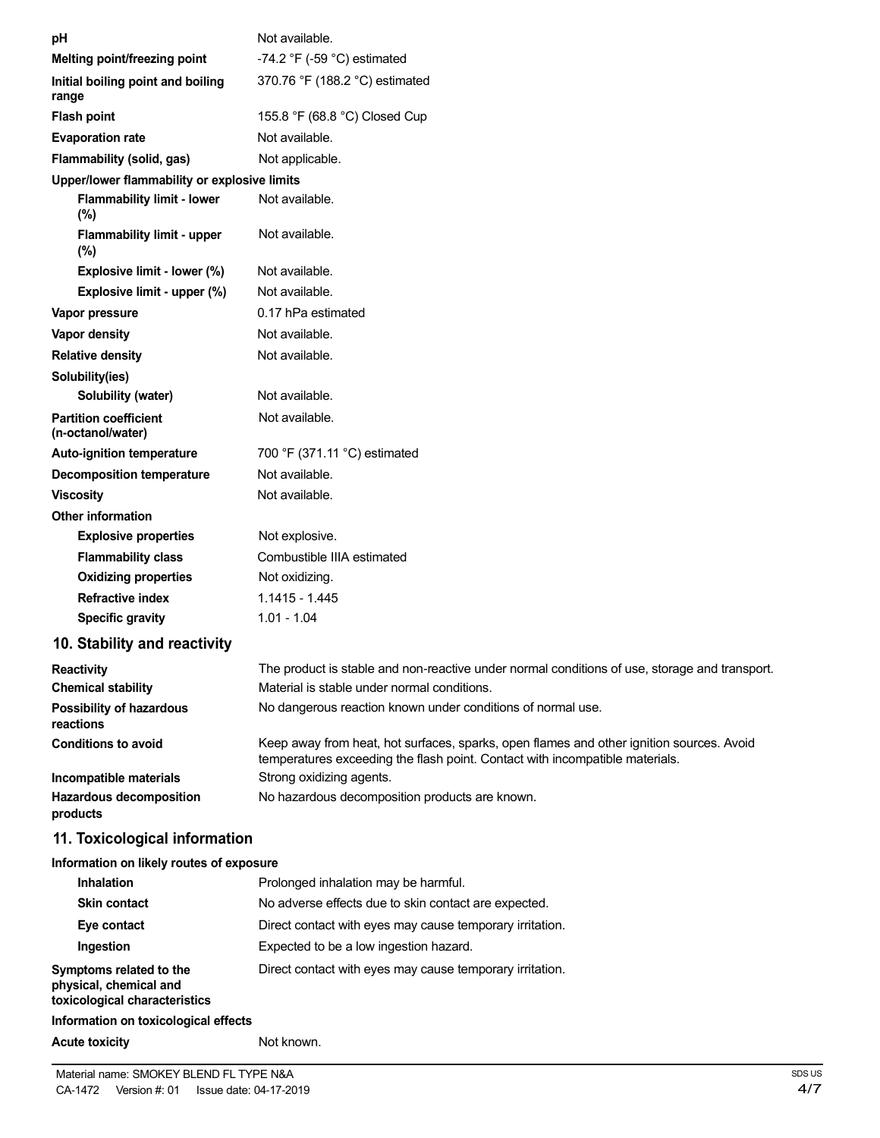| рH                                                | Not available.                                                                                                                                                           |
|---------------------------------------------------|--------------------------------------------------------------------------------------------------------------------------------------------------------------------------|
| Melting point/freezing point                      | -74.2 $\degree$ F (-59 $\degree$ C) estimated                                                                                                                            |
| Initial boiling point and boiling<br>range        | 370.76 °F (188.2 °C) estimated                                                                                                                                           |
| <b>Flash point</b>                                | 155.8 °F (68.8 °C) Closed Cup                                                                                                                                            |
| <b>Evaporation rate</b>                           | Not available.                                                                                                                                                           |
| Flammability (solid, gas)                         | Not applicable.                                                                                                                                                          |
| Upper/lower flammability or explosive limits      |                                                                                                                                                                          |
| <b>Flammability limit - lower</b><br>(%)          | Not available.                                                                                                                                                           |
| <b>Flammability limit - upper</b><br>(%)          | Not available.                                                                                                                                                           |
| Explosive limit - lower (%)                       | Not available.                                                                                                                                                           |
| Explosive limit - upper (%)                       | Not available.                                                                                                                                                           |
| Vapor pressure                                    | 0.17 hPa estimated                                                                                                                                                       |
| Vapor density                                     | Not available.                                                                                                                                                           |
| <b>Relative density</b>                           | Not available.                                                                                                                                                           |
| Solubility(ies)                                   |                                                                                                                                                                          |
| Solubility (water)                                | Not available.                                                                                                                                                           |
| <b>Partition coefficient</b><br>(n-octanol/water) | Not available.                                                                                                                                                           |
| <b>Auto-ignition temperature</b>                  | 700 °F (371.11 °C) estimated                                                                                                                                             |
| <b>Decomposition temperature</b>                  | Not available.                                                                                                                                                           |
| <b>Viscosity</b>                                  | Not available.                                                                                                                                                           |
| <b>Other information</b>                          |                                                                                                                                                                          |
| <b>Explosive properties</b>                       | Not explosive.                                                                                                                                                           |
| <b>Flammability class</b>                         | Combustible IIIA estimated                                                                                                                                               |
| <b>Oxidizing properties</b>                       | Not oxidizing.                                                                                                                                                           |
| <b>Refractive index</b>                           | $1.1415 - 1.445$                                                                                                                                                         |
| <b>Specific gravity</b>                           | $1.01 - 1.04$                                                                                                                                                            |
| 10. Stability and reactivity                      |                                                                                                                                                                          |
| Reactivity                                        | The product is stable and non-reactive under normal conditions of use, storage and transport.                                                                            |
| <b>Chemical stability</b>                         | Material is stable under normal conditions.                                                                                                                              |
| Possibility of hazardous<br>reactions             | No dangerous reaction known under conditions of normal use.                                                                                                              |
| <b>Conditions to avoid</b>                        | Keep away from heat, hot surfaces, sparks, open flames and other ignition sources. Avoid<br>temperatures exceeding the flash point. Contact with incompatible materials. |
| Incompatible materials                            | Strong oxidizing agents.                                                                                                                                                 |
| <b>Hazardous decomposition</b><br>products        | No hazardous decomposition products are known.                                                                                                                           |
| 11. Toxicological information                     |                                                                                                                                                                          |
| Information on likely routes of exposure          |                                                                                                                                                                          |
| Inhalation                                        | Prolonged inhalation may be harmful.                                                                                                                                     |
| <b>Skin contact</b>                               | No adverse effects due to skin contact are expected.                                                                                                                     |
| Eye contact                                       | Direct contact with eyes may cause temporary irritation.                                                                                                                 |
| Ingestion                                         | Expected to be a low ingestion hazard.                                                                                                                                   |
| Symptoms related to the                           | Direct contact with eyes may cause temporary irritation.                                                                                                                 |

**physical, chemical and toxicological characteristics**

# **Information on toxicological effects**

### Acute **toxicity Not known.**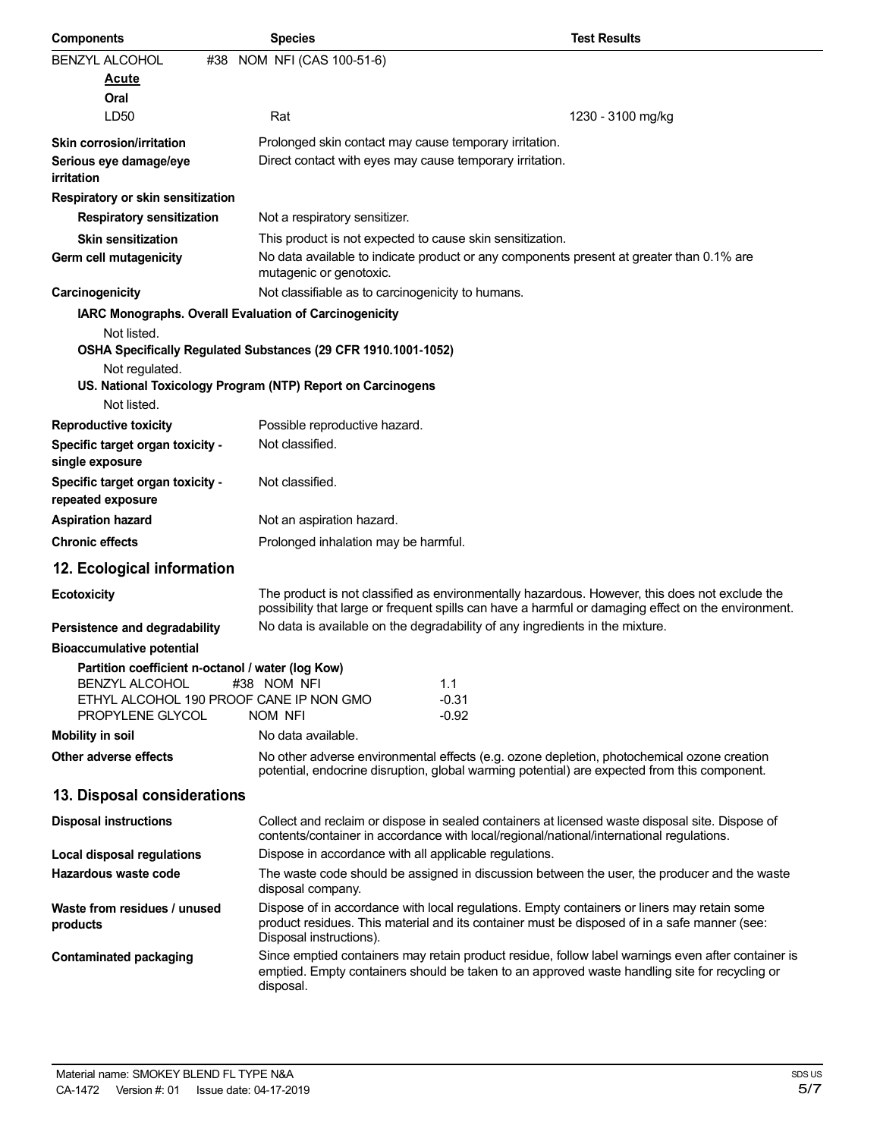| <b>Components</b>                                           | <b>Species</b>                                                                                                                                                                                                         | <b>Test Results</b> |
|-------------------------------------------------------------|------------------------------------------------------------------------------------------------------------------------------------------------------------------------------------------------------------------------|---------------------|
| <b>BENZYL ALCOHOL</b>                                       | #38 NOM NFI (CAS 100-51-6)                                                                                                                                                                                             |                     |
| <u>Acute</u>                                                |                                                                                                                                                                                                                        |                     |
| Oral                                                        |                                                                                                                                                                                                                        |                     |
| LD <sub>50</sub>                                            | Rat                                                                                                                                                                                                                    | 1230 - 3100 mg/kg   |
| Skin corrosion/irritation                                   | Prolonged skin contact may cause temporary irritation.                                                                                                                                                                 |                     |
| Serious eye damage/eye<br>irritation                        | Direct contact with eyes may cause temporary irritation.                                                                                                                                                               |                     |
| Respiratory or skin sensitization                           |                                                                                                                                                                                                                        |                     |
| <b>Respiratory sensitization</b>                            | Not a respiratory sensitizer.                                                                                                                                                                                          |                     |
| <b>Skin sensitization</b>                                   | This product is not expected to cause skin sensitization.                                                                                                                                                              |                     |
| Germ cell mutagenicity                                      | No data available to indicate product or any components present at greater than 0.1% are<br>mutagenic or genotoxic.                                                                                                    |                     |
| Carcinogenicity                                             | Not classifiable as to carcinogenicity to humans.                                                                                                                                                                      |                     |
| IARC Monographs. Overall Evaluation of Carcinogenicity      |                                                                                                                                                                                                                        |                     |
| Not listed.                                                 |                                                                                                                                                                                                                        |                     |
|                                                             | OSHA Specifically Regulated Substances (29 CFR 1910.1001-1052)                                                                                                                                                         |                     |
| Not regulated.                                              |                                                                                                                                                                                                                        |                     |
| Not listed.                                                 | US. National Toxicology Program (NTP) Report on Carcinogens                                                                                                                                                            |                     |
| <b>Reproductive toxicity</b>                                | Possible reproductive hazard.                                                                                                                                                                                          |                     |
| Specific target organ toxicity -<br>single exposure         | Not classified.                                                                                                                                                                                                        |                     |
| Specific target organ toxicity -<br>repeated exposure       | Not classified.                                                                                                                                                                                                        |                     |
| <b>Aspiration hazard</b>                                    | Not an aspiration hazard.                                                                                                                                                                                              |                     |
| <b>Chronic effects</b>                                      | Prolonged inhalation may be harmful.                                                                                                                                                                                   |                     |
| 12. Ecological information                                  |                                                                                                                                                                                                                        |                     |
| <b>Ecotoxicity</b>                                          | The product is not classified as environmentally hazardous. However, this does not exclude the<br>possibility that large or frequent spills can have a harmful or damaging effect on the environment.                  |                     |
| Persistence and degradability                               | No data is available on the degradability of any ingredients in the mixture.                                                                                                                                           |                     |
| <b>Bioaccumulative potential</b>                            |                                                                                                                                                                                                                        |                     |
| Partition coefficient n-octanol / water (log Kow)           |                                                                                                                                                                                                                        |                     |
| <b>BENZYL ALCOHOL</b>                                       | #38 NOM NFI<br>1.1                                                                                                                                                                                                     |                     |
| ETHYL ALCOHOL 190 PROOF CANE IP NON GMO<br>PROPYLENE GLYCOL | $-0.31$<br>$-0.92$<br>NOM NFI                                                                                                                                                                                          |                     |
| <b>Mobility in soil</b>                                     | No data available.                                                                                                                                                                                                     |                     |
| Other adverse effects                                       | No other adverse environmental effects (e.g. ozone depletion, photochemical ozone creation<br>potential, endocrine disruption, global warming potential) are expected from this component.                             |                     |
| 13. Disposal considerations                                 |                                                                                                                                                                                                                        |                     |
| <b>Disposal instructions</b>                                | Collect and reclaim or dispose in sealed containers at licensed waste disposal site. Dispose of<br>contents/container in accordance with local/regional/national/international regulations.                            |                     |
| Local disposal regulations                                  | Dispose in accordance with all applicable regulations.                                                                                                                                                                 |                     |
| Hazardous waste code                                        | The waste code should be assigned in discussion between the user, the producer and the waste                                                                                                                           |                     |
|                                                             | disposal company.                                                                                                                                                                                                      |                     |
| Waste from residues / unused<br>products                    | Dispose of in accordance with local regulations. Empty containers or liners may retain some<br>product residues. This material and its container must be disposed of in a safe manner (see:<br>Disposal instructions). |                     |
| <b>Contaminated packaging</b>                               | Since emptied containers may retain product residue, follow label warnings even after container is<br>emptied. Empty containers should be taken to an approved waste handling site for recycling or<br>disposal.       |                     |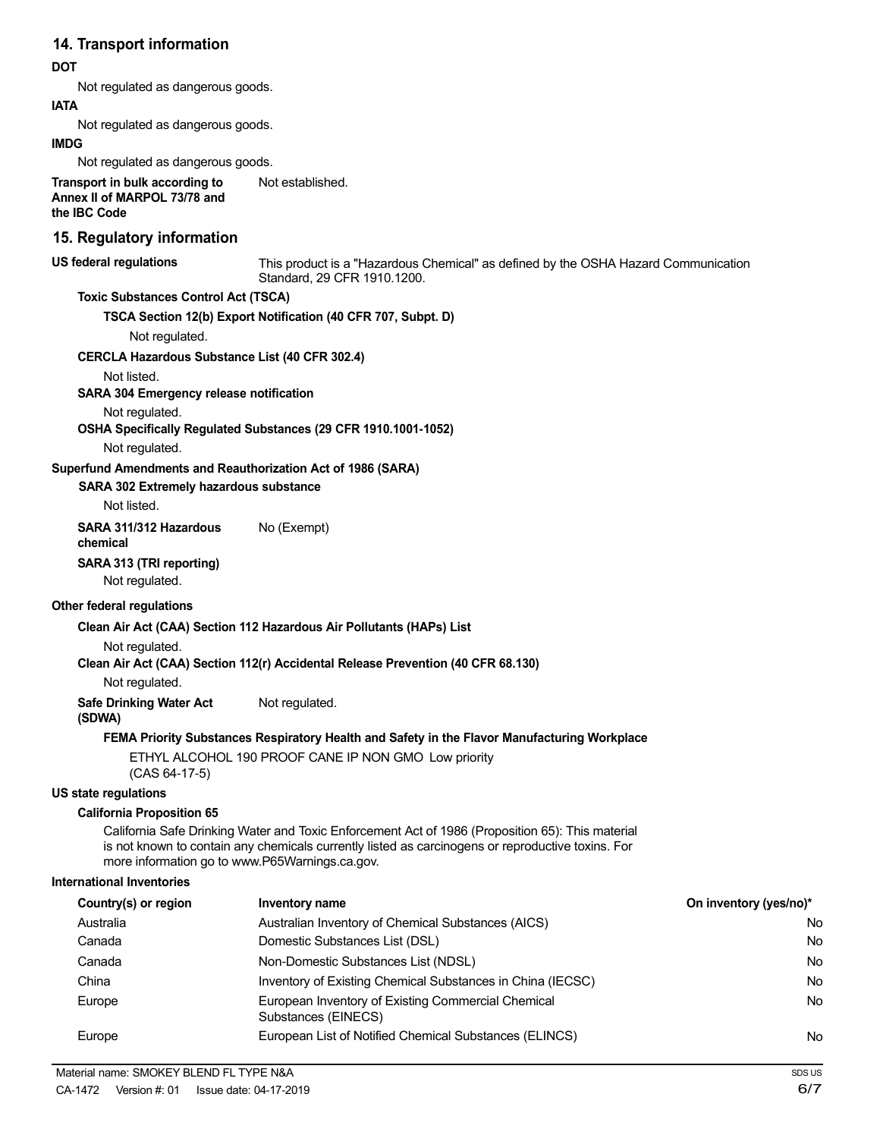# **14. Transport information**

### **DOT**

Not regulated as dangerous goods.

**IATA**

Not regulated as dangerous goods.

#### **IMDG**

Not regulated as dangerous goods.

**Transport in bulk according to Annex II of MARPOL 73/78 and the IBC Code** Not established.

# **15. Regulatory information**

**US federal regulations**

This product is a "Hazardous Chemical" as defined by the OSHA Hazard Communication Standard, 29 CFR 1910.1200.

### **Toxic Substances Control Act (TSCA)**

**TSCA Section 12(b) Export Notification (40 CFR 707, Subpt. D)**

Not regulated.

#### **CERCLA Hazardous Substance List (40 CFR 302.4)**

Not listed.

#### **SARA 304 Emergency release notification**

Not regulated.

**OSHA Specifically Regulated Substances (29 CFR 1910.1001-1052)**

Not regulated.

#### **Superfund Amendments and Reauthorization Act of 1986 (SARA)**

#### **SARA 302 Extremely hazardous substance**

Not listed.

**SARA 311/312 Hazardous** No (Exempt) **chemical**

#### **SARA 313 (TRI reporting)**

Not regulated.

#### **Other federal regulations**

#### **Clean Air Act (CAA) Section 112 Hazardous Air Pollutants (HAPs) List**

Not regulated.

**Clean Air Act (CAA) Section 112(r) Accidental Release Prevention (40 CFR 68.130)**

Not regulated.

**Safe Drinking Water Act** Not regulated.

#### **(SDWA)**

**FEMA Priority Substances Respiratory Health and Safety in the Flavor Manufacturing Workplace**

ETHYL ALCOHOL 190 PROOF CANE IP NON GMO Low priority (CAS 64-17-5)

#### **US state regulations**

#### **California Proposition 65**

California Safe Drinking Water and Toxic Enforcement Act of 1986 (Proposition 65): This material is not known to contain any chemicals currently listed as carcinogens or reproductive toxins. For more information go to www.P65Warnings.ca.gov.

#### **International Inventories**

| Country(s) or region | Inventory name                                                            | On inventory (yes/no)* |
|----------------------|---------------------------------------------------------------------------|------------------------|
| Australia            | Australian Inventory of Chemical Substances (AICS)                        | No                     |
| Canada               | Domestic Substances List (DSL)                                            | No                     |
| Canada               | Non-Domestic Substances List (NDSL)                                       | No                     |
| China                | Inventory of Existing Chemical Substances in China (IECSC)                | No                     |
| Europe               | European Inventory of Existing Commercial Chemical<br>Substances (EINECS) | No                     |
| Europe               | European List of Notified Chemical Substances (ELINCS)                    | No                     |